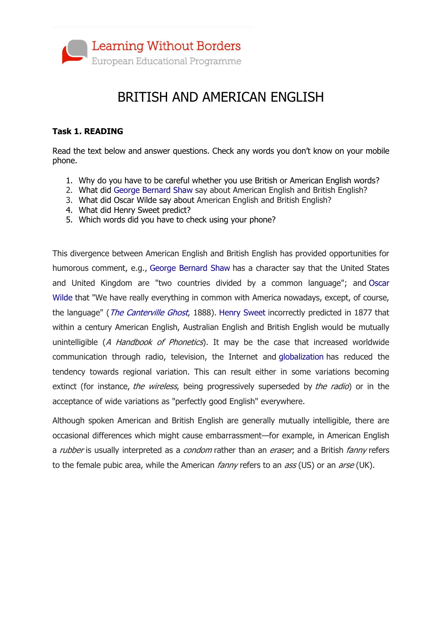

## BRITISH AND AMERICAN ENGLISH

## **Task 1. READING**

Read the text below and answer questions. Check any words you don't know on your mobile phone.

- 1. Why do you have to be careful whether you use British or American English words?
- 2. What did George [Bernard](https://en.wikipedia.org/wiki/George_Bernard_Shaw) Shaw say about American English and British English?
- 3. What did Oscar Wilde say about American English and British English?
- 4. What did Henry Sweet predict?
- 5. Which words did you have to check using your phone?

This divergence between American English and British English has provided opportunities for humorous comment, e.g., [George Bernard Shaw](https://en.wikipedia.org/wiki/George_Bernard_Shaw) has a character say that the United States and United Kingdom are "two countries divided by a common language"; and [Oscar](https://en.wikipedia.org/wiki/Oscar_Wilde)  [Wilde](https://en.wikipedia.org/wiki/Oscar_Wilde) that "We have really everything in common with America nowadays, except, of course, the language" (*[The Canterville Ghost](https://en.wikipedia.org/wiki/The_Canterville_Ghost)*, 1888). [Henry Sweet](https://en.wikipedia.org/wiki/Henry_Sweet) incorrectly predicted in 1877 that within a century American English, Australian English and British English would be mutually unintelligible (A Handbook of Phonetics). It may be the case that increased worldwide communication through radio, television, the Internet and [globalization](https://en.wikipedia.org/wiki/Globalization) has reduced the tendency towards regional variation. This can result either in some variations becoming extinct (for instance, the wireless, being progressively superseded by the radio) or in the acceptance of wide variations as "perfectly good English" everywhere.

Although spoken American and British English are generally mutually intelligible, there are occasional differences which might cause embarrassment—for example, in American English a *rubber* is usually interpreted as a *condom* rather than an *eraser*, and a British *fanny* refers to the female pubic area, while the American *fanny* refers to an *ass* (US) or an *arse* (UK).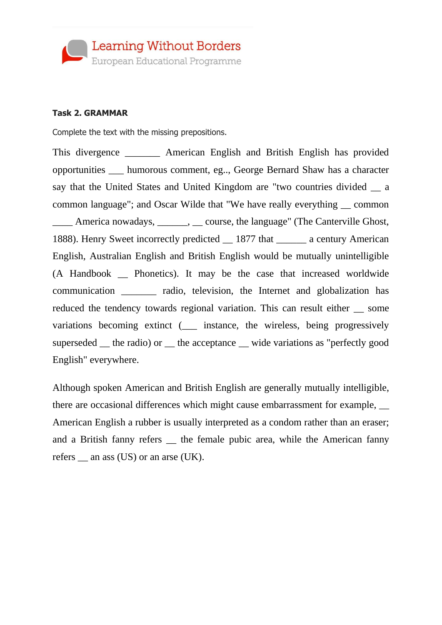

## **Task 2. GRAMMAR**

Complete the text with the missing prepositions.

This divergence \_\_\_\_\_\_\_ American English and British English has provided opportunities \_\_\_ humorous comment, eg.., George Bernard Shaw has a character say that the United States and United Kingdom are "two countries divided  $\_\_a$ common language"; and Oscar Wilde that "We have really everything \_\_ common America nowadays, \_\_\_\_\_\_, \_\_\_ course, the language" (The Canterville Ghost, 1888). Henry Sweet incorrectly predicted \_\_ 1877 that \_\_\_\_\_\_ a century American English, Australian English and British English would be mutually unintelligible (A Handbook \_\_ Phonetics). It may be the case that increased worldwide communication \_\_\_\_\_\_\_ radio, television, the Internet and globalization has reduced the tendency towards regional variation. This can result either some variations becoming extinct (\_\_\_ instance, the wireless, being progressively superseded <u>f</u> the radio) or <u>f</u> the acceptance wide variations as "perfectly good English" everywhere.

Although spoken American and British English are generally mutually intelligible, there are occasional differences which might cause embarrassment for example, \_\_ American English a rubber is usually interpreted as a condom rather than an eraser; and a British fanny refers \_\_ the female pubic area, while the American fanny refers \_\_ an ass (US) or an arse (UK).